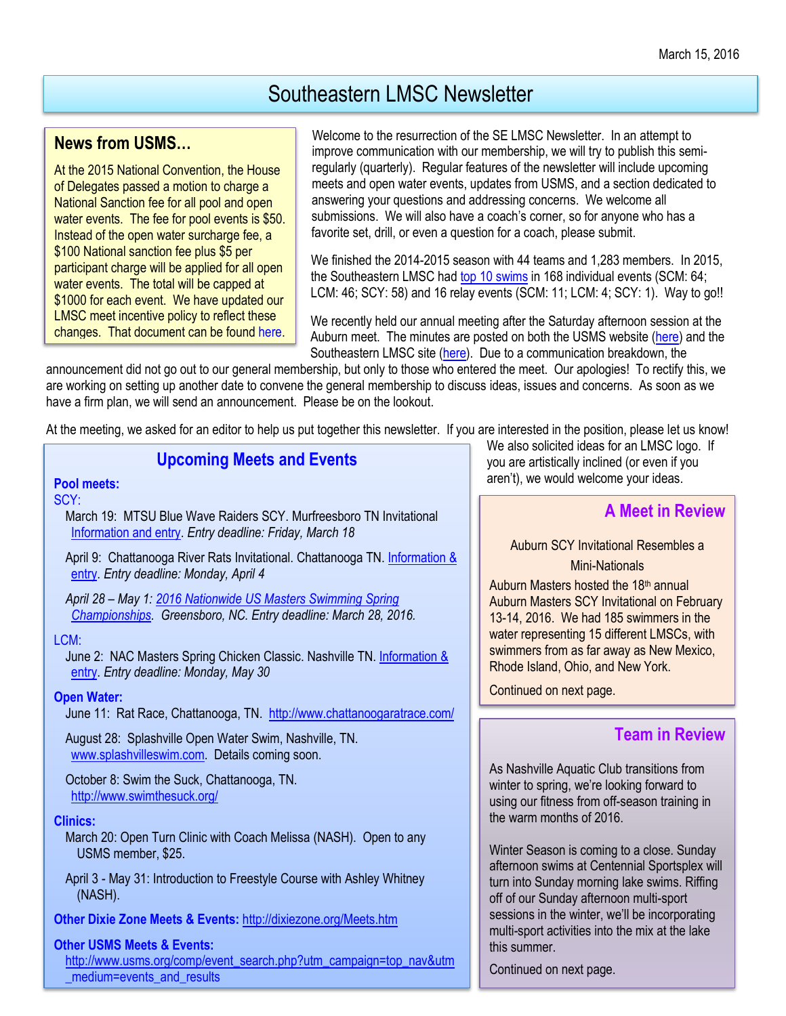# Southeastern LMSC Newsletter

### **News from USMS…**

At the 2015 National Convention, the House of Delegates passed a motion to charge a National Sanction fee for all pool and open water events. The fee for pool events is \$50. Instead of the open water surcharge fee, a \$100 National sanction fee plus \$5 per participant charge will be applied for all open water events. The total will be capped at \$1000 for each event. We have updated our LMSC meet incentive policy to reflect these changes. That document can be foun[d here.](http://www.southeasternlmsc.com/w/page.cfm?pagetitle=Sanctioning)

Welcome to the resurrection of the SE LMSC Newsletter. In an attempt to improve communication with our membership, we will try to publish this semiregularly (quarterly). Regular features of the newsletter will include upcoming meets and open water events, updates from USMS, and a section dedicated to answering your questions and addressing concerns. We welcome all submissions. We will also have a coach's corner, so for anyone who has a favorite set, drill, or even a question for a coach, please submit.

We finished the 2014-2015 season with 44 teams and 1,283 members. In 2015, the Southeastern LMSC ha[d top 10 swims](http://www.usms.org/comp/tt/toptenlmscsummary.php?LMSCID=15) in 168 individual events (SCM: 64; LCM: 46; SCY: 58) and 16 relay events (SCM: 11; LCM: 4; SCY: 1). Way to go!!

We recently held our annual meeting after the Saturday afternoon session at the Auburn meet. The minutes are posted on both the USMS website [\(here\)](http://www.usms.org/lmsc/lmscinfoform.php?LMSCID=15) and the Southeastern LMSC site [\(here\)](http://www.southeasternlmsc.com/w/index.cfm). Due to a communication breakdown, the

announcement did not go out to our general membership, but only to those who entered the meet. Our apologies! To rectify this, we are working on setting up another date to convene the general membership to discuss ideas, issues and concerns. As soon as we have a firm plan, we will send an announcement. Please be on the lookout.

At the meeting, we asked for an editor to help us put together this newsletter. If you are interested in the position, please let us know!

# **Upcoming Meets and Events**

### **Pool meets:**

#### SCY:

March 19: MTSU Blue Wave Raiders SCY. Murfreesboro TN Invitational [Information and entry.](https://www.clubassistant.com/club/meet_information.cfm?c=1692&smid=7143) *Entry deadline: Friday, March 18*

April 9: Chattanooga River Rats Invitational. Chattanooga TN. Information & [entry.](http://www.dixiezone.org/Meets/1604chattanooga.pdf) *Entry deadline: Monday, April 4*

*April 28 – May 1: [2016 Nationwide US Masters Swimming](http://www.usms.org/comp/scnats16/) Spring [Championships.](http://www.usms.org/comp/scnats16/) Greensboro, NC. Entry deadline: March 28, 2016.*

### LCM:

June 2: NAC Masters Spring Chicken Classic. Nashville TN. [Information &](https://www.clubassistant.com/club/meet_information.cfm?c=1982&smid=7141)  [entry.](https://www.clubassistant.com/club/meet_information.cfm?c=1982&smid=7141) *Entry deadline: Monday, May 30*

### **Open Water:**

June 11: Rat Race, Chattanooga, TN.<http://www.chattanoogaratrace.com/>

August 28: Splashville Open Water Swim, Nashville, TN. [www.splashvilleswim.com.](http://www.splashvilleswim.com/) Details coming soon.

October 8: Swim the Suck, Chattanooga, TN. <http://www.swimthesuck.org/>

### **Clinics:**

March 20: Open Turn Clinic with Coach Melissa (NASH). Open to any USMS member, \$25.

April 3 - May 31: Introduction to Freestyle Course with Ashley Whitney (NASH).

**Other Dixie Zone Meets & Events:** <http://dixiezone.org/Meets.htm>

### **Other USMS Meets & Events:**

[http://www.usms.org/comp/event\\_search.php?utm\\_campaign=top\\_nav&utm](http://www.usms.org/comp/event_search.php?utm_campaign=top_nav&utm_medium=events_and_results) [\\_medium=events\\_and\\_results](http://www.usms.org/comp/event_search.php?utm_campaign=top_nav&utm_medium=events_and_results)

We also solicited ideas for an LMSC logo. If you are artistically inclined (or even if you aren't), we would welcome your ideas.

# **A Meet in Review**

# Auburn SCY Invitational Resembles a

### Mini-Nationals

Auburn Masters hosted the  $18<sup>th</sup>$  annual Auburn Masters SCY Invitational on February 13-14, 2016. We had 185 swimmers in the water representing 15 different LMSCs, with swimmers from as far away as New Mexico, Rhode Island, Ohio, and New York.

Continued on next page.

# **Team in Review**

As Nashville Aquatic Club transitions from winter to spring, we're looking forward to using our fitness from off-season training in the warm months of 2016.

Winter Season is coming to a close. Sunday afternoon swims at Centennial Sportsplex will turn into Sunday morning lake swims. Riffing off of our Sunday afternoon multi-sport sessions in the winter, we'll be incorporating multi-sport activities into the mix at the lake this summer.

Continued on next page.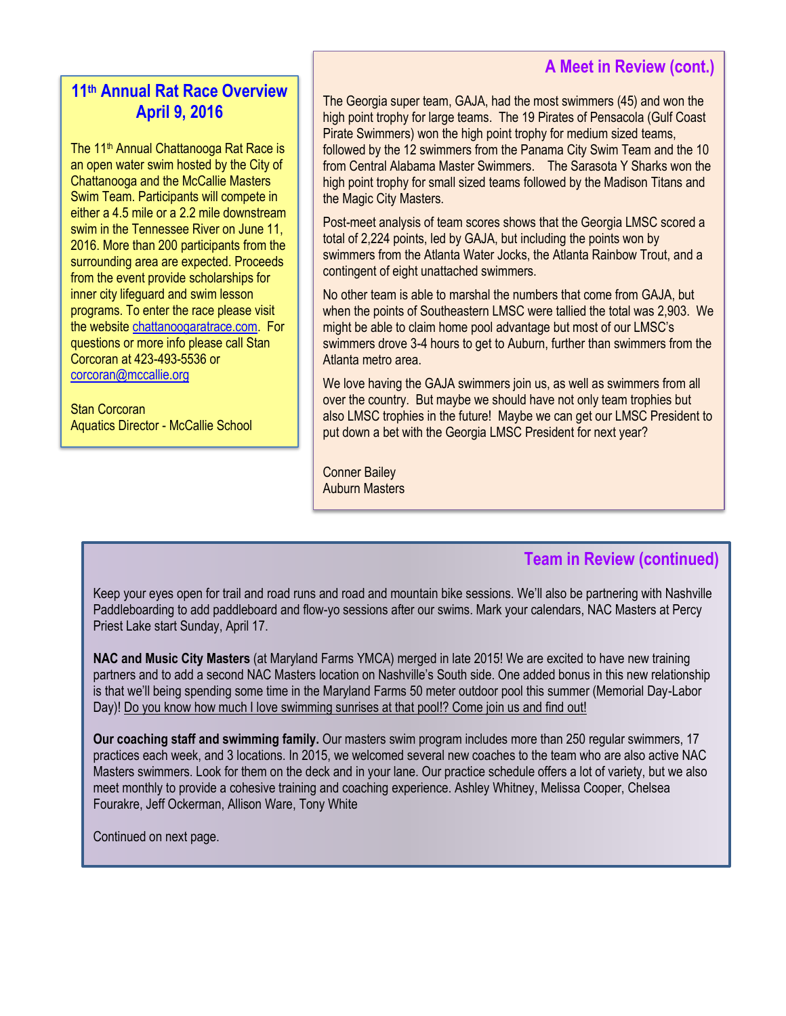## **A Meet in Review (cont.)**

# **11th Annual Rat Race Overview April 9, 2016**

The 11<sup>th</sup> Annual Chattanooga Rat Race is an open water swim hosted by the City of Chattanooga and the McCallie Masters Swim Team. Participants will compete in either a 4.5 mile or a 2.2 mile downstream swim in the Tennessee River on June 11, 2016. More than 200 participants from the surrounding area are expected. Proceeds from the event provide scholarships for inner city lifeguard and swim lesson programs. To enter the race please visit the website [chattanoogaratrace.com.](http://chattanoogaratrace.com/) For questions or more info please call Stan Corcoran at 423-493-5536 or [corcoran@mccallie.org](mailto:corcoran@mccallie.org)

Stan Corcoran Aquatics Director - McCallie School

The Georgia super team, GAJA, had the most swimmers (45) and won the high point trophy for large teams. The 19 Pirates of Pensacola (Gulf Coast Pirate Swimmers) won the high point trophy for medium sized teams, followed by the 12 swimmers from the Panama City Swim Team and the 10 from Central Alabama Master Swimmers. The Sarasota Y Sharks won the high point trophy for small sized teams followed by the Madison Titans and the Magic City Masters.

Post-meet analysis of team scores shows that the Georgia LMSC scored a total of 2,224 points, led by GAJA, but including the points won by swimmers from the Atlanta Water Jocks, the Atlanta Rainbow Trout, and a contingent of eight unattached swimmers.

No other team is able to marshal the numbers that come from GAJA, but when the points of Southeastern LMSC were tallied the total was 2,903. We might be able to claim home pool advantage but most of our LMSC's swimmers drove 3-4 hours to get to Auburn, further than swimmers from the Atlanta metro area.

We love having the GAJA swimmers join us, as well as swimmers from all over the country. But maybe we should have not only team trophies but also LMSC trophies in the future! Maybe we can get our LMSC President to put down a bet with the Georgia LMSC President for next year?

Conner Bailey Auburn Masters

# **Team in Review (continued)**

Keep your eyes open for trail and road runs and road and mountain bike sessions. We'll also be partnering with Nashville Paddleboarding to add paddleboard and flow-yo sessions after our swims. Mark your calendars, NAC Masters at Percy Priest Lake start Sunday, April 17.

**NAC and Music City Masters** (at Maryland Farms YMCA) merged in late 2015! We are excited to have new training partners and to add a second NAC Masters location on Nashville's South side. One added bonus in this new relationship is that we'll being spending some time in the Maryland Farms 50 meter outdoor pool this summer (Memorial Day-Labor Day)! Do you know how much I love swimming sunrises at that pool!? Come join us and find out!

**Our coaching staff and swimming family.** Our masters swim program includes more than 250 regular swimmers, 17 practices each week, and 3 locations. In 2015, we welcomed several new coaches to the team who are also active NAC Masters swimmers. Look for them on the deck and in your lane. Our practice schedule offers a lot of variety, but we also meet monthly to provide a cohesive training and coaching experience. Ashley Whitney, Melissa Cooper, Chelsea Fourakre, Jeff Ockerman, Allison Ware, Tony White

Continued on next page.